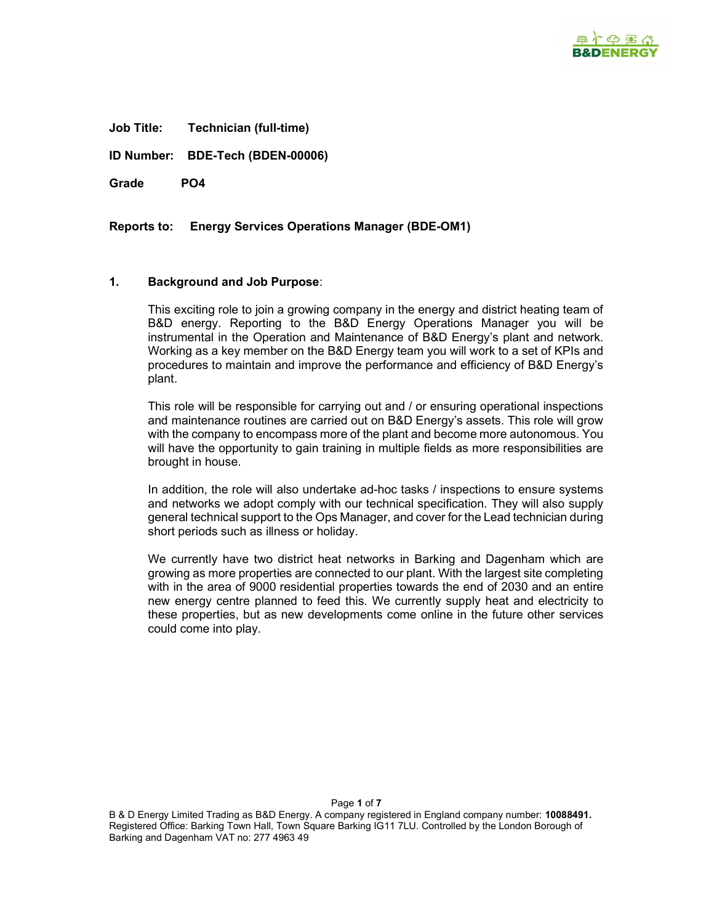

Job Title: Technician (full-time)

ID Number: BDE-Tech (BDEN-00006)

Grade PO4

Reports to: Energy Services Operations Manager (BDE-OM1)

#### 1. Background and Job Purpose:

This exciting role to join a growing company in the energy and district heating team of B&D energy. Reporting to the B&D Energy Operations Manager you will be instrumental in the Operation and Maintenance of B&D Energy's plant and network. Working as a key member on the B&D Energy team you will work to a set of KPIs and procedures to maintain and improve the performance and efficiency of B&D Energy's plant.

This role will be responsible for carrying out and / or ensuring operational inspections and maintenance routines are carried out on B&D Energy's assets. This role will grow with the company to encompass more of the plant and become more autonomous. You will have the opportunity to gain training in multiple fields as more responsibilities are brought in house.

In addition, the role will also undertake ad-hoc tasks / inspections to ensure systems and networks we adopt comply with our technical specification. They will also supply general technical support to the Ops Manager, and cover for the Lead technician during short periods such as illness or holiday.

We currently have two district heat networks in Barking and Dagenham which are growing as more properties are connected to our plant. With the largest site completing with in the area of 9000 residential properties towards the end of 2030 and an entire new energy centre planned to feed this. We currently supply heat and electricity to these properties, but as new developments come online in the future other services could come into play.

Page 1 of 7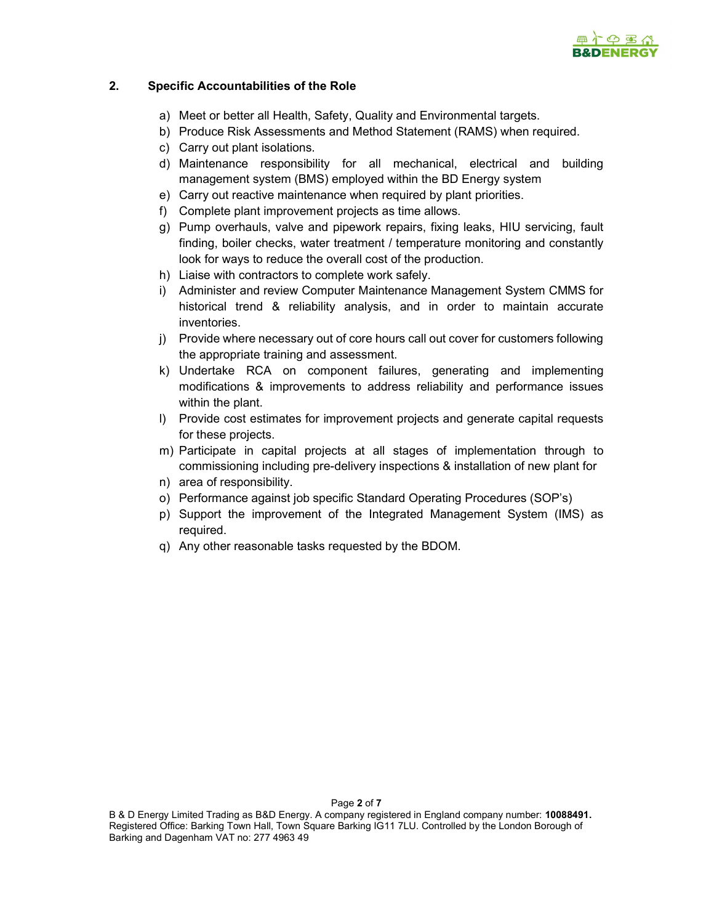

## 2. Specific Accountabilities of the Role

- a) Meet or better all Health, Safety, Quality and Environmental targets.
- b) Produce Risk Assessments and Method Statement (RAMS) when required.
- c) Carry out plant isolations.
- d) Maintenance responsibility for all mechanical, electrical and building management system (BMS) employed within the BD Energy system
- e) Carry out reactive maintenance when required by plant priorities.
- f) Complete plant improvement projects as time allows.
- g) Pump overhauls, valve and pipework repairs, fixing leaks, HIU servicing, fault finding, boiler checks, water treatment / temperature monitoring and constantly look for ways to reduce the overall cost of the production.
- h) Liaise with contractors to complete work safely.
- i) Administer and review Computer Maintenance Management System CMMS for historical trend & reliability analysis, and in order to maintain accurate inventories.
- j) Provide where necessary out of core hours call out cover for customers following the appropriate training and assessment.
- k) Undertake RCA on component failures, generating and implementing modifications & improvements to address reliability and performance issues within the plant.
- l) Provide cost estimates for improvement projects and generate capital requests for these projects.
- m) Participate in capital projects at all stages of implementation through to commissioning including pre-delivery inspections & installation of new plant for
- n) area of responsibility.
- o) Performance against job specific Standard Operating Procedures (SOP's)
- p) Support the improvement of the Integrated Management System (IMS) as required.
- q) Any other reasonable tasks requested by the BDOM.

Page 2 of 7

B & D Energy Limited Trading as B&D Energy. A company registered in England company number: 10088491. Registered Office: Barking Town Hall, Town Square Barking IG11 7LU. Controlled by the London Borough of Barking and Dagenham VAT no: 277 4963 49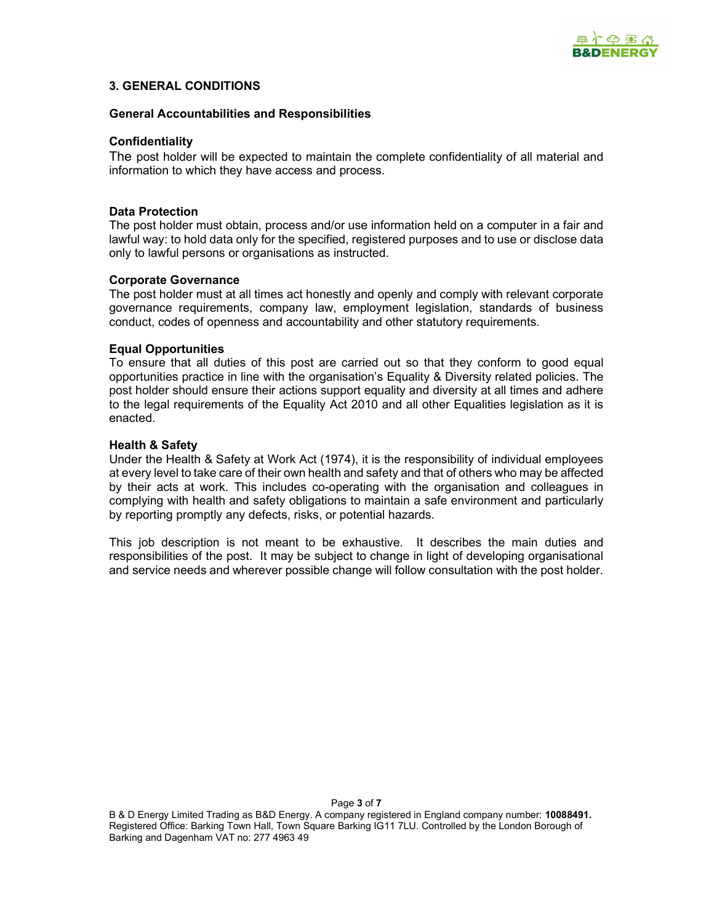

### 3. GENERAL CONDITIONS

#### General Accountabilities and Responsibilities

#### **Confidentiality**

The post holder will be expected to maintain the complete confidentiality of all material and information to which they have access and process.

#### Data Protection

The post holder must obtain, process and/or use information held on a computer in a fair and lawful way: to hold data only for the specified, registered purposes and to use or disclose data only to lawful persons or organisations as instructed.

#### Corporate Governance

The post holder must at all times act honestly and openly and comply with relevant corporate governance requirements, company law, employment legislation, standards of business conduct, codes of openness and accountability and other statutory requirements.

#### Equal Opportunities

To ensure that all duties of this post are carried out so that they conform to good equal opportunities practice in line with the organisation's Equality & Diversity related policies. The post holder should ensure their actions support equality and diversity at all times and adhere to the legal requirements of the Equality Act 2010 and all other Equalities legislation as it is enacted.

#### Health & Safety

Under the Health & Safety at Work Act (1974), it is the responsibility of individual employees at every level to take care of their own health and safety and that of others who may be affected by their acts at work. This includes co-operating with the organisation and colleagues in complying with health and safety obligations to maintain a safe environment and particularly by reporting promptly any defects, risks, or potential hazards.

This job description is not meant to be exhaustive. It describes the main duties and responsibilities of the post. It may be subject to change in light of developing organisational and service needs and wherever possible change will follow consultation with the post holder.

Page 3 of 7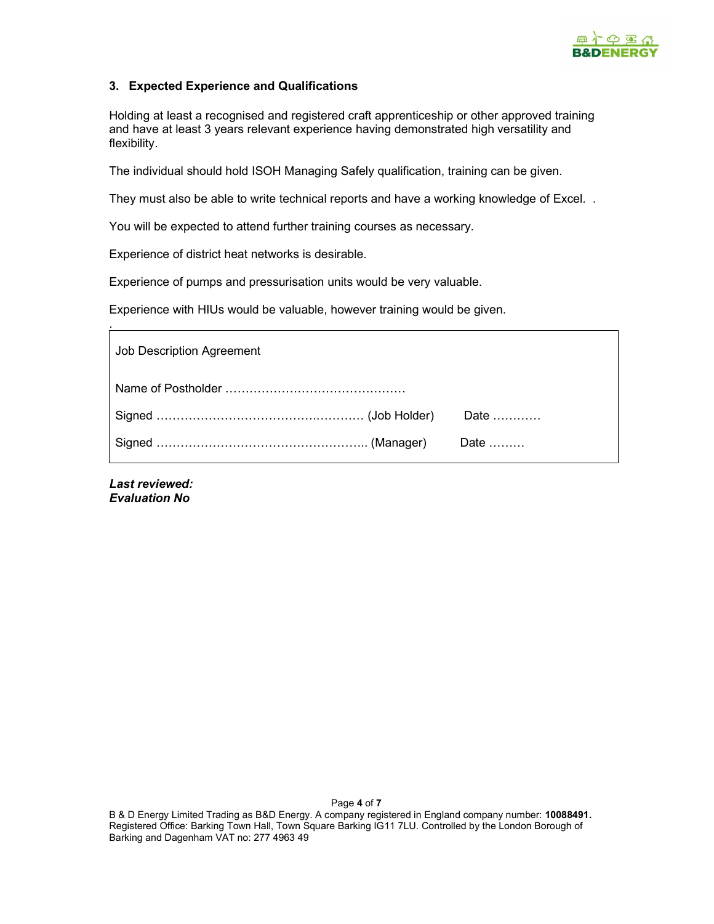

## 3. Expected Experience and Qualifications

Holding at least a recognised and registered craft apprenticeship or other approved training and have at least 3 years relevant experience having demonstrated high versatility and flexibility.

The individual should hold ISOH Managing Safely qualification, training can be given.

They must also be able to write technical reports and have a working knowledge of Excel. .

You will be expected to attend further training courses as necessary.

Experience of district heat networks is desirable.

Experience of pumps and pressurisation units would be very valuable.

Experience with HIUs would be valuable, however training would be given.

| Job Description Agreement                             |  |  |  |  |  |  |  |
|-------------------------------------------------------|--|--|--|--|--|--|--|
|                                                       |  |  |  |  |  |  |  |
| Signed ……………………………………………………………(Job Holder)  Date ………… |  |  |  |  |  |  |  |
|                                                       |  |  |  |  |  |  |  |

Last reviewed: Evaluation No

.

B & D Energy Limited Trading as B&D Energy. A company registered in England company number: 10088491. Registered Office: Barking Town Hall, Town Square Barking IG11 7LU. Controlled by the London Borough of Barking and Dagenham VAT no: 277 4963 49

Page 4 of 7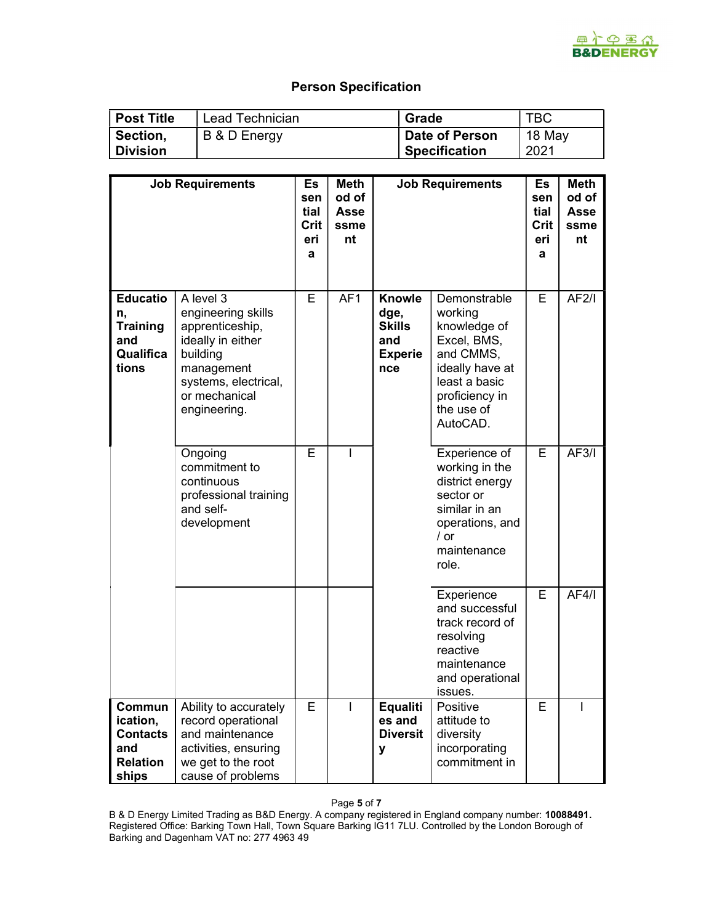

# Person Specification

| ∣ Post Title    | Lead Technician | Grade          | ТВС    |
|-----------------|-----------------|----------------|--------|
| Section,        | B & D Energy    | Date of Person | 18 May |
| <b>Division</b> |                 | Specification  | 2021   |

|                                                                          | <b>Job Requirements</b>                                                                                                                                    | Es<br>sen<br>tial<br>Crit<br>eri<br>a | <b>Meth</b><br>od of<br>Asse<br>ssme<br>nt | <b>Job Requirements</b>                                         |                                                                                                                                                     | Es<br>sen<br>tial<br>Crit<br>eri<br>a | <b>Meth</b><br>od of<br><b>Asse</b><br>ssme<br>nt |
|--------------------------------------------------------------------------|------------------------------------------------------------------------------------------------------------------------------------------------------------|---------------------------------------|--------------------------------------------|-----------------------------------------------------------------|-----------------------------------------------------------------------------------------------------------------------------------------------------|---------------------------------------|---------------------------------------------------|
| <b>Educatio</b><br>n,<br><b>Training</b><br>and<br>Qualifica<br>tions    | A level 3<br>engineering skills<br>apprenticeship,<br>ideally in either<br>building<br>management<br>systems, electrical,<br>or mechanical<br>engineering. | E.                                    | AF <sub>1</sub>                            | Knowle<br>dge,<br><b>Skills</b><br>and<br><b>Experie</b><br>nce | Demonstrable<br>working<br>knowledge of<br>Excel, BMS,<br>and CMMS,<br>ideally have at<br>least a basic<br>proficiency in<br>the use of<br>AutoCAD. | E.                                    | AF2/l                                             |
|                                                                          | Ongoing<br>commitment to<br>continuous<br>professional training<br>and self-<br>development                                                                | E                                     | I                                          |                                                                 | Experience of<br>working in the<br>district energy<br>sector or<br>similar in an<br>operations, and<br>$/$ or<br>maintenance<br>role.               | E                                     | AF3/l                                             |
|                                                                          |                                                                                                                                                            |                                       |                                            |                                                                 | Experience<br>and successful<br>track record of<br>resolving<br>reactive<br>maintenance<br>and operational<br>issues.                               | E.                                    | AF4/1                                             |
| Commun<br>ication,<br><b>Contacts</b><br>and<br><b>Relation</b><br>ships | Ability to accurately<br>record operational<br>and maintenance<br>activities, ensuring<br>we get to the root<br>cause of problems                          | Е                                     |                                            | <b>Equaliti</b><br>es and<br><b>Diversit</b><br>у               | Positive<br>attitude to<br>diversity<br>incorporating<br>commitment in                                                                              | Е                                     |                                                   |

Page 5 of 7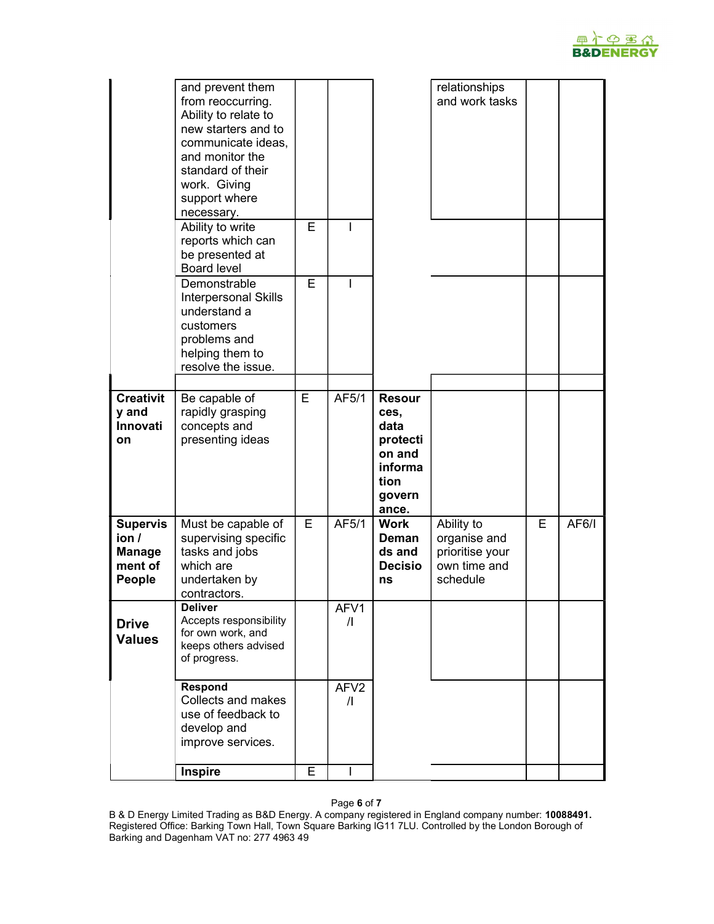

|                                                                      | and prevent them<br>from reoccurring.<br>Ability to relate to<br>new starters and to<br>communicate ideas,<br>and monitor the<br>standard of their<br>work. Giving<br>support where<br>necessary. |   |                                |                                                                                           | relationships<br>and work tasks                                           |   |       |
|----------------------------------------------------------------------|---------------------------------------------------------------------------------------------------------------------------------------------------------------------------------------------------|---|--------------------------------|-------------------------------------------------------------------------------------------|---------------------------------------------------------------------------|---|-------|
|                                                                      | Ability to write<br>reports which can<br>be presented at<br><b>Board level</b>                                                                                                                    | E | I                              |                                                                                           |                                                                           |   |       |
|                                                                      | Demonstrable<br><b>Interpersonal Skills</b><br>understand a<br>customers<br>problems and<br>helping them to<br>resolve the issue.                                                                 | E | I                              |                                                                                           |                                                                           |   |       |
| <b>Creativit</b><br>y and<br><b>Innovati</b><br>on                   | Be capable of<br>rapidly grasping<br>concepts and<br>presenting ideas                                                                                                                             | E | AF5/1                          | <b>Resour</b><br>ces,<br>data<br>protecti<br>on and<br>informa<br>tion<br>govern<br>ance. |                                                                           |   |       |
| <b>Supervis</b><br>ion/<br><b>Manage</b><br>ment of<br><b>People</b> | Must be capable of<br>supervising specific<br>tasks and jobs<br>which are<br>undertaken by<br>contractors.                                                                                        | E | AF5/1                          | <b>Work</b><br>Deman<br>ds and<br><b>Decisio</b><br>ns                                    | Ability to<br>organise and<br>prioritise your<br>own time and<br>schedule | Е | AF6/1 |
| <b>Drive</b><br><b>Values</b>                                        | <b>Deliver</b><br>Accepts responsibility<br>for own work, and<br>keeps others advised<br>of progress.                                                                                             |   | AFV1<br>$\sqrt{ }$             |                                                                                           |                                                                           |   |       |
|                                                                      | Respond<br>Collects and makes<br>use of feedback to<br>develop and<br>improve services.                                                                                                           |   | AFV <sub>2</sub><br>$\sqrt{ }$ |                                                                                           |                                                                           |   |       |
|                                                                      | <b>Inspire</b>                                                                                                                                                                                    | E | I                              |                                                                                           |                                                                           |   |       |

Page 6 of 7